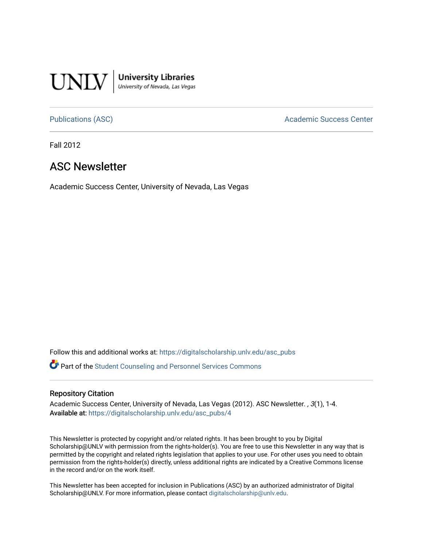

**University Libraries**<br>University of Nevada, Las Vegas

[Publications \(ASC\)](https://digitalscholarship.unlv.edu/asc_pubs) and a context of the Academic Success Center

Fall 2012

#### ASC Newsletter

Academic Success Center, University of Nevada, Las Vegas

Follow this and additional works at: [https://digitalscholarship.unlv.edu/asc\\_pubs](https://digitalscholarship.unlv.edu/asc_pubs?utm_source=digitalscholarship.unlv.edu%2Fasc_pubs%2F4&utm_medium=PDF&utm_campaign=PDFCoverPages) 

Part of the [Student Counseling and Personnel Services Commons](http://network.bepress.com/hgg/discipline/802?utm_source=digitalscholarship.unlv.edu%2Fasc_pubs%2F4&utm_medium=PDF&utm_campaign=PDFCoverPages) 

#### Repository Citation

Academic Success Center, University of Nevada, Las Vegas (2012). ASC Newsletter., 3(1), 1-4. Available at: [https://digitalscholarship.unlv.edu/asc\\_pubs/4](https://digitalscholarship.unlv.edu/asc_pubs/4) 

This Newsletter is protected by copyright and/or related rights. It has been brought to you by Digital Scholarship@UNLV with permission from the rights-holder(s). You are free to use this Newsletter in any way that is permitted by the copyright and related rights legislation that applies to your use. For other uses you need to obtain permission from the rights-holder(s) directly, unless additional rights are indicated by a Creative Commons license in the record and/or on the work itself.

This Newsletter has been accepted for inclusion in Publications (ASC) by an authorized administrator of Digital Scholarship@UNLV. For more information, please contact [digitalscholarship@unlv.edu.](mailto:digitalscholarship@unlv.edu)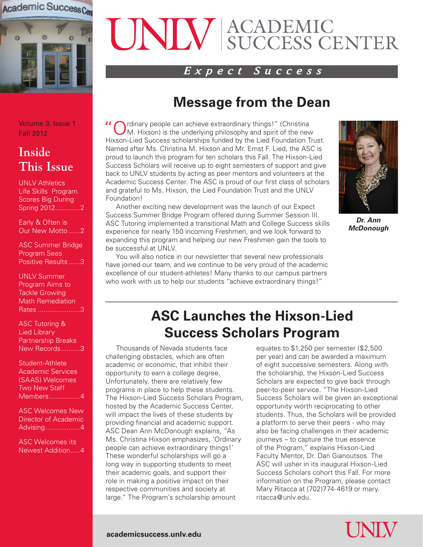

# ACADEMIC SUCCESS CENTER

#### *Expect Success*

### **Message from the Dean**

Volume 3, Issue 1 Fall 2012

#### **Inside This Issue**

UNLV Athletics Life Skills Program Scores Big During Spring 2012.............2

Early & Often is Our New Motto ......2

ASC Summer Bridge Program Sees Positive Results ......3

UNLV Summer Program Aims to Tackle Growing Math Remediation Rates ......................3

ASC Tutoring & Lied Library Partnership Breaks New Records..........3

Student-Athlete Academic Services (SAAS) Welcomes Two New Staff Members................4

ASC Welcomes New Director of Academic Advising..................4

ASC Welcomes its Newest Addition.....4 **"** Ordinary people can achieve extraordinary things!" (Christina M. Hixson) is the underlying philosophy and spirit of the new Hixson-Lied Success scholarships funded by the Lied Foundation Trust. Named after Ms. Christina M. Hixson and Mr. Ernst F. Lied, the ASC is proud to launch this program for ten scholars this Fall. The Hixson-Lied Success Scholars will receive up to eight semesters of support and give back to UNLV students by acting as peer mentors and volunteers at the Academic Success Center. The ASC is proud of our first class of scholars and grateful to Ms. Hixson, the Lied Foundation Trust and the UNLV Foundation!

 Another exciting new development was the launch of our Expect Success Summer Bridge Program offered during Summer Session III. ASC Tutoring implemented a transitional Math and College Success skills experience for nearly 150 incoming Freshmen, and we look forward to expanding this program and helping our new Freshmen gain the tools to be successful at UNLV.

 You will also notice in our newsletter that several new professionals have joined our team, and we continue to be very proud of the academic excellence of our student-athletes! Many thanks to our campus partners who work with us to help our students "achieve extraordinary things!"



*Dr. Ann McDonough*

### **ASC Launches the Hixson-Lied Success Scholars Program**

 Thousands of Nevada students face challenging obstacles, which are often academic or economic, that inhibit their opportunity to earn a college degree. Unfortunately, there are relatively few programs in place to help these students. The Hixson-Lied Success Scholars Program, hosted by the Academic Success Center, will impact the lives of these students by providing financial and academic support. ASC Dean Ann McDonough explains, "As Ms. Christina Hixson emphasizes, 'Ordinary people can achieve extraordinary things!' These wonderful scholarships will go a long way in supporting students to meet their academic goals, and support their role in making a positive impact on their respective communities and society at large." The Program's scholarship amount

equates to \$1,250 per semester (\$2,500 per year) and can be awarded a maximum of eight successive semesters. Along with the scholarship, the Hixson-Lied Success Scholars are expected to give back through peer-to-peer service. "The Hixson-Lied Success Scholars will be given an exceptional opportunity worth reciprocating to other students. Thus, the Scholars will be provided a platform to serve their peers - who may also be facing challenges in their academic journeys – to capture the true essence of the Program," explains Hixson-Lied Faculty Mentor, Dr. Dan Gianoutsos. The ASC will usher in its inaugural Hixson-Lied Success Scholars cohort this Fall. For more information on the Program, please contact Mary Ritacca at (702)774-4619 or mary. ritacca@unlv.edu.

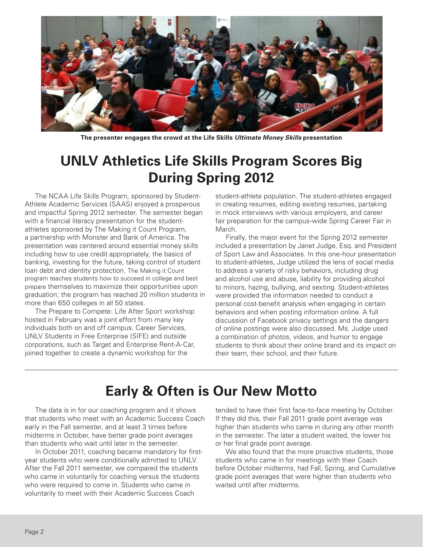

**The presenter engages the crowd at the Life Skills** *Ultimate Money Skills* **presentation**

### **UNLV Athletics Life Skills Program Scores Big During Spring 2012**

 The NCAA Life Skills Program, sponsored by Student-Athlete Academic Services (SAAS) enjoyed a prosperous and impactful Spring 2012 semester. The semester began with a financial literacy presentation for the studentathletes sponsored by The Making it Count Program, a partnership with Monster and Bank of America. The presentation was centered around essential money skills including how to use credit appropriately, the basics of banking, investing for the future, taking control of student loan debt and identity protection. The Making it Count program teaches students how to succeed in college and best prepare themselves to maximize their opportunities upon graduation; the program has reached 20 million students in more than 650 colleges in all 50 states.

 The Prepare to Compete: Life After Sport workshop hosted in February was a joint effort from many key individuals both on and off campus. Career Services, UNLV Students in Free Enterprise (SIFE) and outside corporations, such as Target and Enterprise Rent-A-Car, joined together to create a dynamic workshop for the

student-athlete population. The student-athletes engaged in creating resumes, editing existing resumes, partaking in mock interviews with various employers, and career fair preparation for the campus-wide Spring Career Fair in March.

 Finally, the major event for the Spring 2012 semester included a presentation by Janet Judge, Esq. and President of Sport Law and Associates. In this one-hour presentation to student-athletes, Judge utilized the lens of social media to address a variety of risky behaviors, including drug and alcohol use and abuse, liability for providing alcohol to minors, hazing, bullying, and sexting. Student-athletes were provided the information needed to conduct a personal cost-benefit analysis when engaging in certain behaviors and when posting information online. A full discussion of Facebook privacy settings and the dangers of online postings were also discussed. Ms. Judge used a combination of photos, videos, and humor to engage students to think about their online brand and its impact on their team, their school, and their future.

### **Early & Often is Our New Motto**

 The data is in for our coaching program and it shows that students who meet with an Academic Success Coach early in the Fall semester, and at least 3 times before midterms in October, have better grade point averages than students who wait until later in the semester.

 In October 2011, coaching became mandatory for firstyear students who were conditionally admitted to UNLV. After the Fall 2011 semester, we compared the students who came in voluntarily for coaching versus the students who were required to come in. Students who came in voluntarily to meet with their Academic Success Coach

tended to have their first face-to-face meeting by October. If they did this, their Fall 2011 grade point average was higher than students who came in during any other month in the semester. The later a student waited, the lower his or her final grade point average.

 We also found that the more proactive students, those students who came in for meetings with their Coach before October midterms, had Fall, Spring, and Cumulative grade point averages that were higher than students who waited until after midterms.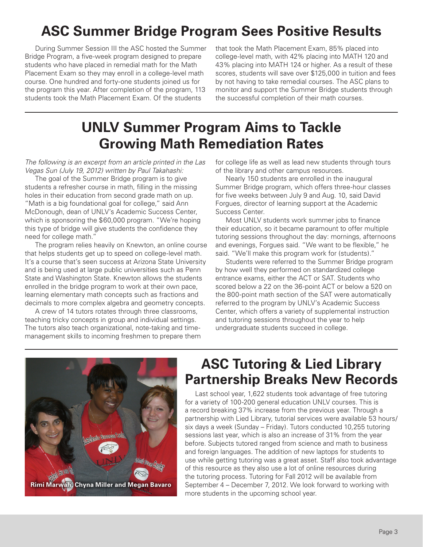# **ASC Summer Bridge Program Sees Positive Results**

 During Summer Session III the ASC hosted the Summer Bridge Program, a five-week program designed to prepare students who have placed in remedial math for the Math Placement Exam so they may enroll in a college-level math course. One hundred and forty-one students joined us for the program this year. After completion of the program, 113 students took the Math Placement Exam. Of the students

that took the Math Placement Exam, 85% placed into college-level math, with 42% placing into MATH 120 and 43% placing into MATH 124 or higher. As a result of these scores, students will save over \$125,000 in tuition and fees by not having to take remedial courses. The ASC plans to monitor and support the Summer Bridge students through the successful completion of their math courses.

## **UNLV Summer Program Aims to Tackle Growing Math Remediation Rates**

*The following is an excerpt from an article printed in the Las Vegas Sun (July 19, 2012) written by Paul Takahashi:*

 The goal of the Summer Bridge program is to give students a refresher course in math, filling in the missing holes in their education from second grade math on up. "Math is a big foundational goal for college," said Ann McDonough, dean of UNLV's Academic Success Center, which is sponsoring the \$60,000 program. "We're hoping this type of bridge will give students the confidence they need for college math."

 The program relies heavily on Knewton, an online course that helps students get up to speed on college-level math. It's a course that's seen success at Arizona State University and is being used at large public universities such as Penn State and Washington State. Knewton allows the students enrolled in the bridge program to work at their own pace, learning elementary math concepts such as fractions and decimals to more complex algebra and geometry concepts.

 A crew of 14 tutors rotates through three classrooms, teaching tricky concepts in group and individual settings. The tutors also teach organizational, note-taking and timemanagement skills to incoming freshmen to prepare them

for college life as well as lead new students through tours of the library and other campus resources.

 Nearly 150 students are enrolled in the inaugural Summer Bridge program, which offers three-hour classes for five weeks between July 9 and Aug. 10, said David Forgues, director of learning support at the Academic Success Center.

 Most UNLV students work summer jobs to finance their education, so it became paramount to offer multiple tutoring sessions throughout the day: mornings, afternoons and evenings, Forgues said. "We want to be flexible," he said. "We'll make this program work for (students)."

 Students were referred to the Summer Bridge program by how well they performed on standardized college entrance exams, either the ACT or SAT. Students who scored below a 22 on the 36-point ACT or below a 520 on the 800-point math section of the SAT were automatically referred to the program by UNLV's Academic Success Center, which offers a variety of supplemental instruction and tutoring sessions throughout the year to help undergraduate students succeed in college.



#### **ASC Tutoring & Lied Library Partnership Breaks New Records**

 Last school year, 1,622 students took advantage of free tutoring for a variety of 100-200 general education UNLV courses. This is a record breaking 37% increase from the previous year. Through a partnership with Lied Library, tutorial services were available 53 hours/ six days a week (Sunday – Friday). Tutors conducted 10,255 tutoring sessions last year, which is also an increase of 31% from the year before. Subjects tutored ranged from science and math to business and foreign languages. The addition of new laptops for students to use while getting tutoring was a great asset. Staff also took advantage of this resource as they also use a lot of online resources during the tutoring process. Tutoring for Fall 2012 will be available from September 4 – December 7, 2012. We look forward to working with more students in the upcoming school year.